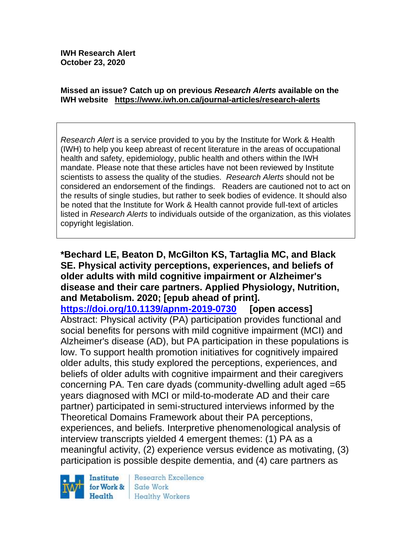#### **Missed an issue? Catch up on previous** *Research Alerts* **available on the [IWH website](http://www.iwh.on.ca/research-alerts) <https://www.iwh.on.ca/journal-articles/research-alerts>**

*Research Alert* is a service provided to you by the Institute for Work & Health (IWH) to help you keep abreast of recent literature in the areas of occupational health and safety, epidemiology, public health and others within the IWH mandate. Please note that these articles have not been reviewed by Institute scientists to assess the quality of the studies. *Research Alerts* should not be considered an endorsement of the findings. Readers are cautioned not to act on the results of single studies, but rather to seek bodies of evidence. It should also be noted that the Institute for Work & Health cannot provide full-text of articles listed in *Research Alerts* to individuals outside of the organization, as this violates copyright legislation.

**\*Bechard LE, Beaton D, McGilton KS, Tartaglia MC, and Black SE. Physical activity perceptions, experiences, and beliefs of older adults with mild cognitive impairment or Alzheimer's disease and their care partners. Applied Physiology, Nutrition, and Metabolism. 2020; [epub ahead of print].**

**<https://doi.org/10.1139/apnm-2019-0730> [open access]** Abstract: Physical activity (PA) participation provides functional and social benefits for persons with mild cognitive impairment (MCI) and Alzheimer's disease (AD), but PA participation in these populations is low. To support health promotion initiatives for cognitively impaired older adults, this study explored the perceptions, experiences, and beliefs of older adults with cognitive impairment and their caregivers concerning PA. Ten care dyads (community-dwelling adult aged =65 years diagnosed with MCI or mild-to-moderate AD and their care partner) participated in semi-structured interviews informed by the Theoretical Domains Framework about their PA perceptions, experiences, and beliefs. Interpretive phenomenological analysis of interview transcripts yielded 4 emergent themes: (1) PA as a meaningful activity, (2) experience versus evidence as motivating, (3) participation is possible despite dementia, and (4) care partners as



Research Excellence Safe Work Healthy Workers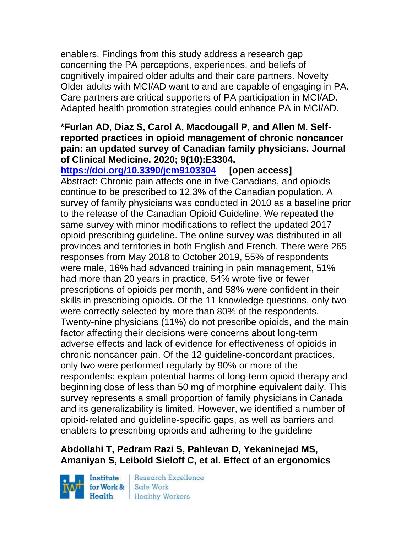enablers. Findings from this study address a research gap concerning the PA perceptions, experiences, and beliefs of cognitively impaired older adults and their care partners. Novelty Older adults with MCI/AD want to and are capable of engaging in PA. Care partners are critical supporters of PA participation in MCI/AD. Adapted health promotion strategies could enhance PA in MCI/AD.

### **\*Furlan AD, Diaz S, Carol A, Macdougall P, and Allen M. Selfreported practices in opioid management of chronic noncancer pain: an updated survey of Canadian family physicians. Journal of Clinical Medicine. 2020; 9(10):E3304.**

**<https://doi.org/10.3390/jcm9103304> [open access]** Abstract: Chronic pain affects one in five Canadians, and opioids continue to be prescribed to 12.3% of the Canadian population. A survey of family physicians was conducted in 2010 as a baseline prior to the release of the Canadian Opioid Guideline. We repeated the same survey with minor modifications to reflect the updated 2017 opioid prescribing guideline. The online survey was distributed in all provinces and territories in both English and French. There were 265 responses from May 2018 to October 2019, 55% of respondents were male, 16% had advanced training in pain management, 51% had more than 20 years in practice, 54% wrote five or fewer prescriptions of opioids per month, and 58% were confident in their skills in prescribing opioids. Of the 11 knowledge questions, only two were correctly selected by more than 80% of the respondents. Twenty-nine physicians (11%) do not prescribe opioids, and the main factor affecting their decisions were concerns about long-term adverse effects and lack of evidence for effectiveness of opioids in chronic noncancer pain. Of the 12 guideline-concordant practices, only two were performed regularly by 90% or more of the respondents: explain potential harms of long-term opioid therapy and beginning dose of less than 50 mg of morphine equivalent daily. This survey represents a small proportion of family physicians in Canada and its generalizability is limited. However, we identified a number of opioid-related and guideline-specific gaps, as well as barriers and enablers to prescribing opioids and adhering to the guideline

# **Abdollahi T, Pedram Razi S, Pahlevan D, Yekaninejad MS, Amaniyan S, Leibold Sieloff C, et al. Effect of an ergonomics**

Institute Health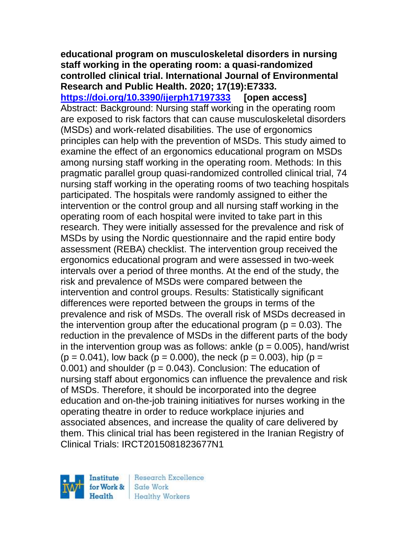#### **educational program on musculoskeletal disorders in nursing staff working in the operating room: a quasi-randomized controlled clinical trial. International Journal of Environmental Research and Public Health. 2020; 17(19):E7333.**

**<https://doi.org/10.3390/ijerph17197333> [open access]** Abstract: Background: Nursing staff working in the operating room are exposed to risk factors that can cause musculoskeletal disorders (MSDs) and work-related disabilities. The use of ergonomics principles can help with the prevention of MSDs. This study aimed to examine the effect of an ergonomics educational program on MSDs among nursing staff working in the operating room. Methods: In this pragmatic parallel group quasi-randomized controlled clinical trial, 74 nursing staff working in the operating rooms of two teaching hospitals participated. The hospitals were randomly assigned to either the intervention or the control group and all nursing staff working in the operating room of each hospital were invited to take part in this research. They were initially assessed for the prevalence and risk of MSDs by using the Nordic questionnaire and the rapid entire body assessment (REBA) checklist. The intervention group received the ergonomics educational program and were assessed in two-week intervals over a period of three months. At the end of the study, the risk and prevalence of MSDs were compared between the intervention and control groups. Results: Statistically significant differences were reported between the groups in terms of the prevalence and risk of MSDs. The overall risk of MSDs decreased in the intervention group after the educational program ( $p = 0.03$ ). The reduction in the prevalence of MSDs in the different parts of the body in the intervention group was as follows: ankle  $(p = 0.005)$ , hand/wrist  $(p = 0.041)$ , low back  $(p = 0.000)$ , the neck  $(p = 0.003)$ , hip  $(p = 0.0041)$  $0.001$ ) and shoulder ( $p = 0.043$ ). Conclusion: The education of nursing staff about ergonomics can influence the prevalence and risk of MSDs. Therefore, it should be incorporated into the degree education and on-the-job training initiatives for nurses working in the operating theatre in order to reduce workplace injuries and associated absences, and increase the quality of care delivered by them. This clinical trial has been registered in the Iranian Registry of Clinical Trials: IRCT2015081823677N1

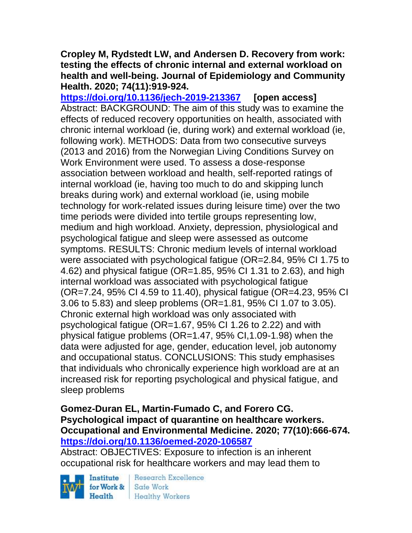### **Cropley M, Rydstedt LW, and Andersen D. Recovery from work: testing the effects of chronic internal and external workload on health and well-being. Journal of Epidemiology and Community Health. 2020; 74(11):919-924.**

**<https://doi.org/10.1136/jech-2019-213367> [open access]** Abstract: BACKGROUND: The aim of this study was to examine the effects of reduced recovery opportunities on health, associated with chronic internal workload (ie, during work) and external workload (ie, following work). METHODS: Data from two consecutive surveys (2013 and 2016) from the Norwegian Living Conditions Survey on Work Environment were used. To assess a dose-response association between workload and health, self-reported ratings of internal workload (ie, having too much to do and skipping lunch breaks during work) and external workload (ie, using mobile technology for work-related issues during leisure time) over the two time periods were divided into tertile groups representing low, medium and high workload. Anxiety, depression, physiological and psychological fatigue and sleep were assessed as outcome symptoms. RESULTS: Chronic medium levels of internal workload were associated with psychological fatigue (OR=2.84, 95% CI 1.75 to 4.62) and physical fatigue (OR=1.85, 95% CI 1.31 to 2.63), and high internal workload was associated with psychological fatigue (OR=7.24, 95% CI 4.59 to 11.40), physical fatigue (OR=4.23, 95% CI 3.06 to 5.83) and sleep problems (OR=1.81, 95% CI 1.07 to 3.05). Chronic external high workload was only associated with psychological fatigue (OR=1.67, 95% CI 1.26 to 2.22) and with physical fatigue problems (OR=1.47, 95% CI,1.09-1.98) when the data were adjusted for age, gender, education level, job autonomy and occupational status. CONCLUSIONS: This study emphasises that individuals who chronically experience high workload are at an increased risk for reporting psychological and physical fatigue, and sleep problems

### **Gomez-Duran EL, Martin-Fumado C, and Forero CG. Psychological impact of quarantine on healthcare workers. Occupational and Environmental Medicine. 2020; 77(10):666-674. <https://doi.org/10.1136/oemed-2020-106587>**

Abstract: OBJECTIVES: Exposure to infection is an inherent occupational risk for healthcare workers and may lead them to

Institute for Work & Health

**Research Excellence** Safe Work **Healthy Workers**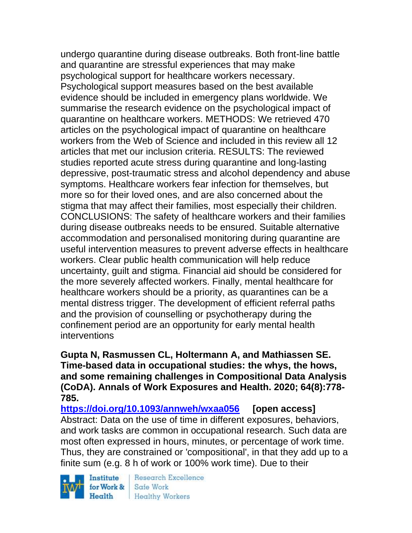undergo quarantine during disease outbreaks. Both front-line battle and quarantine are stressful experiences that may make psychological support for healthcare workers necessary. Psychological support measures based on the best available evidence should be included in emergency plans worldwide. We summarise the research evidence on the psychological impact of quarantine on healthcare workers. METHODS: We retrieved 470 articles on the psychological impact of quarantine on healthcare workers from the Web of Science and included in this review all 12 articles that met our inclusion criteria. RESULTS: The reviewed studies reported acute stress during quarantine and long-lasting depressive, post-traumatic stress and alcohol dependency and abuse symptoms. Healthcare workers fear infection for themselves, but more so for their loved ones, and are also concerned about the stigma that may affect their families, most especially their children. CONCLUSIONS: The safety of healthcare workers and their families during disease outbreaks needs to be ensured. Suitable alternative accommodation and personalised monitoring during quarantine are useful intervention measures to prevent adverse effects in healthcare workers. Clear public health communication will help reduce uncertainty, guilt and stigma. Financial aid should be considered for the more severely affected workers. Finally, mental healthcare for healthcare workers should be a priority, as quarantines can be a mental distress trigger. The development of efficient referral paths and the provision of counselling or psychotherapy during the confinement period are an opportunity for early mental health interventions

**Gupta N, Rasmussen CL, Holtermann A, and Mathiassen SE. Time-based data in occupational studies: the whys, the hows, and some remaining challenges in Compositional Data Analysis (CoDA). Annals of Work Exposures and Health. 2020; 64(8):778- 785.** 

**<https://doi.org/10.1093/annweh/wxaa056> [open access]** Abstract: Data on the use of time in different exposures, behaviors, and work tasks are common in occupational research. Such data are most often expressed in hours, minutes, or percentage of work time. Thus, they are constrained or 'compositional', in that they add up to a finite sum (e.g. 8 h of work or 100% work time). Due to their

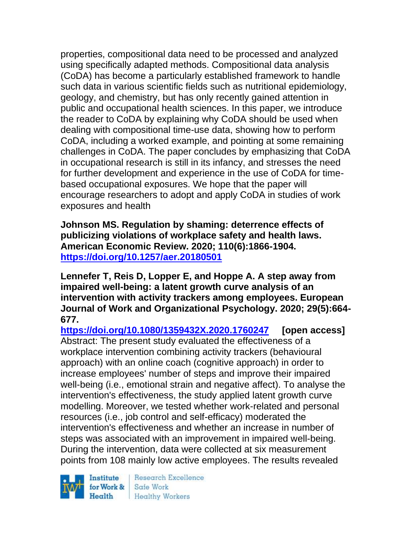properties, compositional data need to be processed and analyzed using specifically adapted methods. Compositional data analysis (CoDA) has become a particularly established framework to handle such data in various scientific fields such as nutritional epidemiology, geology, and chemistry, but has only recently gained attention in public and occupational health sciences. In this paper, we introduce the reader to CoDA by explaining why CoDA should be used when dealing with compositional time-use data, showing how to perform CoDA, including a worked example, and pointing at some remaining challenges in CoDA. The paper concludes by emphasizing that CoDA in occupational research is still in its infancy, and stresses the need for further development and experience in the use of CoDA for timebased occupational exposures. We hope that the paper will encourage researchers to adopt and apply CoDA in studies of work exposures and health

**Johnson MS. Regulation by shaming: deterrence effects of publicizing violations of workplace safety and health laws. American Economic Review. 2020; 110(6):1866-1904. <https://doi.org/10.1257/aer.20180501>** 

**Lennefer T, Reis D, Lopper E, and Hoppe A. A step away from impaired well-being: a latent growth curve analysis of an intervention with activity trackers among employees. European Journal of Work and Organizational Psychology. 2020; 29(5):664- 677.** 

**<https://doi.org/10.1080/1359432X.2020.1760247> [open access]** Abstract: The present study evaluated the effectiveness of a workplace intervention combining activity trackers (behavioural approach) with an online coach (cognitive approach) in order to increase employees' number of steps and improve their impaired well-being (i.e., emotional strain and negative affect). To analyse the intervention's effectiveness, the study applied latent growth curve modelling. Moreover, we tested whether work-related and personal resources (i.e., job control and self-efficacy) moderated the intervention's effectiveness and whether an increase in number of steps was associated with an improvement in impaired well-being. During the intervention, data were collected at six measurement points from 108 mainly low active employees. The results revealed

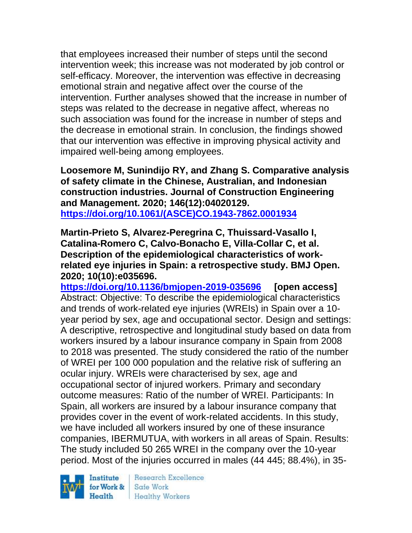that employees increased their number of steps until the second intervention week; this increase was not moderated by job control or self-efficacy. Moreover, the intervention was effective in decreasing emotional strain and negative affect over the course of the intervention. Further analyses showed that the increase in number of steps was related to the decrease in negative affect, whereas no such association was found for the increase in number of steps and the decrease in emotional strain. In conclusion, the findings showed that our intervention was effective in improving physical activity and impaired well-being among employees.

**Loosemore M, Sunindijo RY, and Zhang S. Comparative analysis of safety climate in the Chinese, Australian, and Indonesian construction industries. Journal of Construction Engineering and Management. 2020; 146(12):04020129. [https://doi.org/10.1061/\(ASCE\)CO.1943-7862.0001934](https://doi.org/10.1061/(ASCE)CO.1943-7862.0001934)** 

**Martin-Prieto S, Alvarez-Peregrina C, Thuissard-Vasallo I, Catalina-Romero C, Calvo-Bonacho E, Villa-Collar C, et al. Description of the epidemiological characteristics of workrelated eye injuries in Spain: a retrospective study. BMJ Open. 2020; 10(10):e035696.**

**<https://doi.org/10.1136/bmjopen-2019-035696> [open access]** Abstract: Objective: To describe the epidemiological characteristics and trends of work-related eye injuries (WREIs) in Spain over a 10 year period by sex, age and occupational sector. Design and settings: A descriptive, retrospective and longitudinal study based on data from workers insured by a labour insurance company in Spain from 2008 to 2018 was presented. The study considered the ratio of the number of WREI per 100 000 population and the relative risk of suffering an ocular injury. WREIs were characterised by sex, age and occupational sector of injured workers. Primary and secondary outcome measures: Ratio of the number of WREI. Participants: In Spain, all workers are insured by a labour insurance company that provides cover in the event of work-related accidents. In this study, we have included all workers insured by one of these insurance companies, IBERMUTUA, with workers in all areas of Spain. Results: The study included 50 265 WREI in the company over the 10-year period. Most of the injuries occurred in males (44 445; 88.4%), in 35-

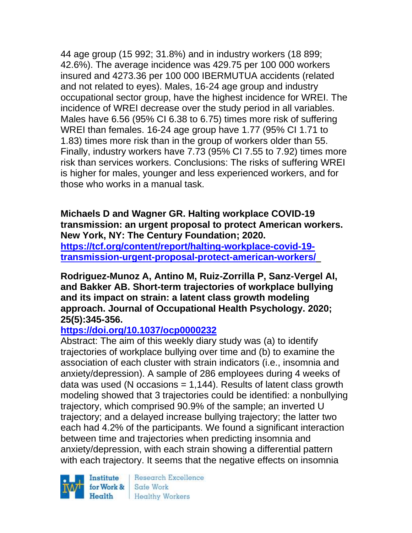44 age group (15 992; 31.8%) and in industry workers (18 899; 42.6%). The average incidence was 429.75 per 100 000 workers insured and 4273.36 per 100 000 IBERMUTUA accidents (related and not related to eyes). Males, 16-24 age group and industry occupational sector group, have the highest incidence for WREI. The incidence of WREI decrease over the study period in all variables. Males have 6.56 (95% CI 6.38 to 6.75) times more risk of suffering WREI than females. 16-24 age group have 1.77 (95% CI 1.71 to 1.83) times more risk than in the group of workers older than 55. Finally, industry workers have 7.73 (95% CI 7.55 to 7.92) times more risk than services workers. Conclusions: The risks of suffering WREI is higher for males, younger and less experienced workers, and for those who works in a manual task.

**Michaels D and Wagner GR. Halting workplace COVID-19 transmission: an urgent proposal to protect American workers. New York, NY: The Century Foundation; 2020. [https://tcf.org/content/report/halting-workplace-covid-19](https://tcf.org/content/report/halting-workplace-covid-19-transmission-urgent-proposal-protect-american-workers/) [transmission-urgent-proposal-protect-american-workers/](https://tcf.org/content/report/halting-workplace-covid-19-transmission-urgent-proposal-protect-american-workers/)** 

**Rodriguez-Munoz A, Antino M, Ruiz-Zorrilla P, Sanz-Vergel AI, and Bakker AB. Short-term trajectories of workplace bullying and its impact on strain: a latent class growth modeling approach. Journal of Occupational Health Psychology. 2020; 25(5):345-356.** 

### **<https://doi.org/10.1037/ocp0000232>**

Abstract: The aim of this weekly diary study was (a) to identify trajectories of workplace bullying over time and (b) to examine the association of each cluster with strain indicators (i.e., insomnia and anxiety/depression). A sample of 286 employees during 4 weeks of data was used (N occasions  $= 1,144$ ). Results of latent class growth modeling showed that 3 trajectories could be identified: a nonbullying trajectory, which comprised 90.9% of the sample; an inverted U trajectory; and a delayed increase bullying trajectory; the latter two each had 4.2% of the participants. We found a significant interaction between time and trajectories when predicting insomnia and anxiety/depression, with each strain showing a differential pattern with each trajectory. It seems that the negative effects on insomnia

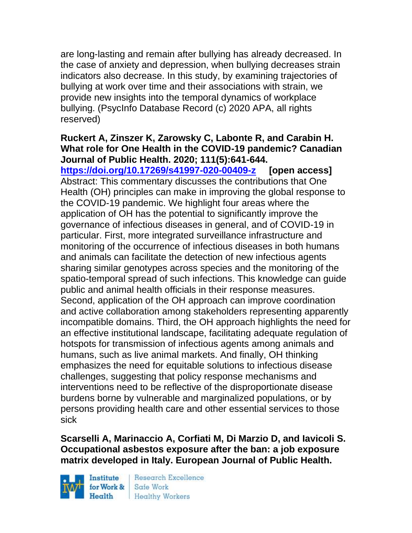are long-lasting and remain after bullying has already decreased. In the case of anxiety and depression, when bullying decreases strain indicators also decrease. In this study, by examining trajectories of bullying at work over time and their associations with strain, we provide new insights into the temporal dynamics of workplace bullying. (PsycInfo Database Record (c) 2020 APA, all rights reserved)

### **Ruckert A, Zinszer K, Zarowsky C, Labonte R, and Carabin H. What role for One Health in the COVID-19 pandemic? Canadian Journal of Public Health. 2020; 111(5):641-644.**

**<https://doi.org/10.17269/s41997-020-00409-z> [open access]** Abstract: This commentary discusses the contributions that One Health (OH) principles can make in improving the global response to the COVID-19 pandemic. We highlight four areas where the application of OH has the potential to significantly improve the governance of infectious diseases in general, and of COVID-19 in particular. First, more integrated surveillance infrastructure and monitoring of the occurrence of infectious diseases in both humans and animals can facilitate the detection of new infectious agents sharing similar genotypes across species and the monitoring of the spatio-temporal spread of such infections. This knowledge can guide public and animal health officials in their response measures. Second, application of the OH approach can improve coordination and active collaboration among stakeholders representing apparently incompatible domains. Third, the OH approach highlights the need for an effective institutional landscape, facilitating adequate regulation of hotspots for transmission of infectious agents among animals and humans, such as live animal markets. And finally, OH thinking emphasizes the need for equitable solutions to infectious disease challenges, suggesting that policy response mechanisms and interventions need to be reflective of the disproportionate disease burdens borne by vulnerable and marginalized populations, or by persons providing health care and other essential services to those sick

# **Scarselli A, Marinaccio A, Corfiati M, Di Marzio D, and Iavicoli S. Occupational asbestos exposure after the ban: a job exposure matrix developed in Italy. European Journal of Public Health.**

Institute Health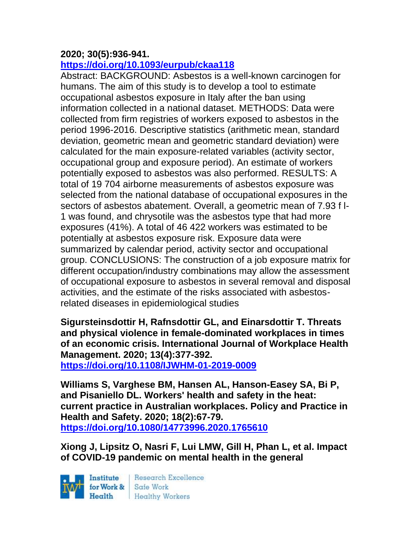# **2020; 30(5):936-941.**

# **<https://doi.org/10.1093/eurpub/ckaa118>**

Abstract: BACKGROUND: Asbestos is a well-known carcinogen for humans. The aim of this study is to develop a tool to estimate occupational asbestos exposure in Italy after the ban using information collected in a national dataset. METHODS: Data were collected from firm registries of workers exposed to asbestos in the period 1996-2016. Descriptive statistics (arithmetic mean, standard deviation, geometric mean and geometric standard deviation) were calculated for the main exposure-related variables (activity sector, occupational group and exposure period). An estimate of workers potentially exposed to asbestos was also performed. RESULTS: A total of 19 704 airborne measurements of asbestos exposure was selected from the national database of occupational exposures in the sectors of asbestos abatement. Overall, a geometric mean of 7.93 f l-1 was found, and chrysotile was the asbestos type that had more exposures (41%). A total of 46 422 workers was estimated to be potentially at asbestos exposure risk. Exposure data were summarized by calendar period, activity sector and occupational group. CONCLUSIONS: The construction of a job exposure matrix for different occupation/industry combinations may allow the assessment of occupational exposure to asbestos in several removal and disposal activities, and the estimate of the risks associated with asbestosrelated diseases in epidemiological studies

**Sigursteinsdottir H, Rafnsdottir GL, and Einarsdottir T. Threats and physical violence in female-dominated workplaces in times of an economic crisis. International Journal of Workplace Health Management. 2020; 13(4):377-392.** 

**<https://doi.org/10.1108/IJWHM-01-2019-0009>** 

**Williams S, Varghese BM, Hansen AL, Hanson-Easey SA, Bi P, and Pisaniello DL. Workers' health and safety in the heat: current practice in Australian workplaces. Policy and Practice in Health and Safety. 2020; 18(2):67-79. <https://doi.org/10.1080/14773996.2020.1765610>** 

**Xiong J, Lipsitz O, Nasri F, Lui LMW, Gill H, Phan L, et al. Impact of COVID-19 pandemic on mental health in the general** 

Institute for Work & Safe Work

Research Excellence Health Healthy Workers